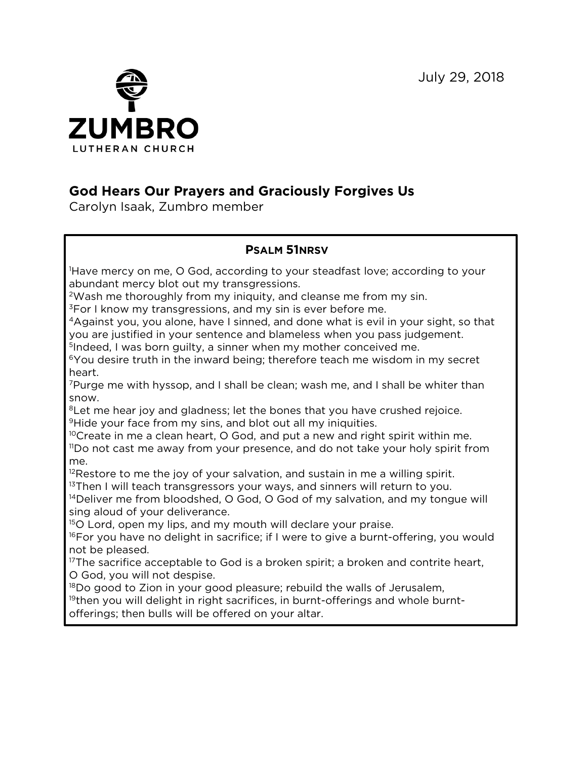July 29, 2018



## **God Hears Our Prayers and Graciously Forgives Us**

Carolyn Isaak, Zumbro member

## **PSALM 51NRSV**

1 Have mercy on me, O God, according to your steadfast love; according to your abundant mercy blot out my transgressions.

<sup>2</sup>Wash me thoroughly from my iniquity, and cleanse me from my sin.

 $3$ For I know my transgressions, and my sin is ever before me.

4Against you, you alone, have I sinned, and done what is evil in your sight, so that you are justified in your sentence and blameless when you pass judgement.

<sup>5</sup>Indeed, I was born guilty, a sinner when my mother conceived me.

<sup>6</sup>You desire truth in the inward being; therefore teach me wisdom in my secret heart.

7Purge me with hyssop, and I shall be clean; wash me, and I shall be whiter than snow.

 $8$ Let me hear joy and gladness; let the bones that you have crushed rejoice. <sup>9</sup>Hide your face from my sins, and blot out all my iniquities.

<sup>10</sup>Create in me a clean heart, O God, and put a new and right spirit within me.

<sup>11</sup>Do not cast me away from your presence, and do not take your holy spirit from me.

<sup>12</sup>Restore to me the joy of your salvation, and sustain in me a willing spirit. <sup>13</sup>Then I will teach transgressors your ways, and sinners will return to you.

<sup>14</sup>Deliver me from bloodshed, O God, O God of my salvation, and my tongue will sing aloud of your deliverance.

<sup>15</sup>O Lord, open my lips, and my mouth will declare your praise.

 $16$ For you have no delight in sacrifice; if I were to give a burnt-offering, you would not be pleased.

<sup>17</sup>The sacrifice acceptable to God is a broken spirit; a broken and contrite heart, O God, you will not despise.

<sup>18</sup>Do good to Zion in your good pleasure; rebuild the walls of Jerusalem,

 $19$ then you will delight in right sacrifices, in burnt-offerings and whole burntofferings; then bulls will be offered on your altar.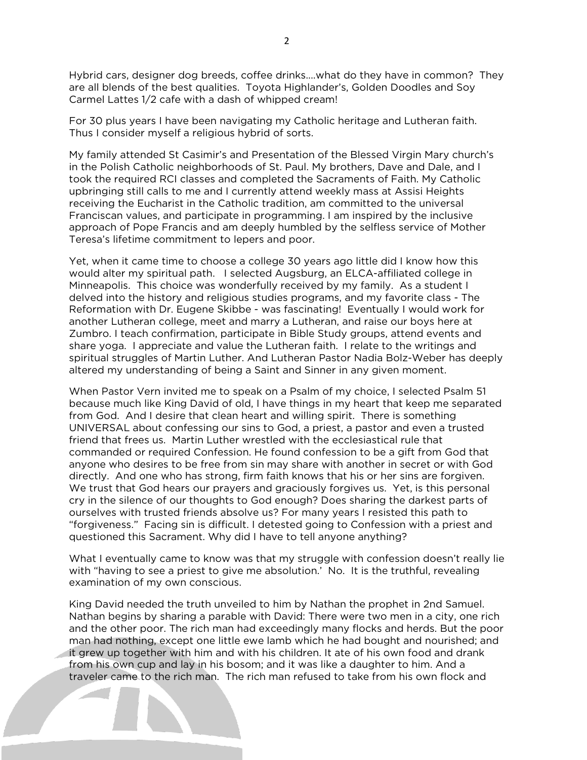Hybrid cars, designer dog breeds, coffee drinks....what do they have in common? They are all blends of the best qualities. Toyota Highlander's, Golden Doodles and Soy Carmel Lattes 1/2 cafe with a dash of whipped cream!

For 30 plus years I have been navigating my Catholic heritage and Lutheran faith. Thus I consider myself a religious hybrid of sorts.

My family attended St Casimir's and Presentation of the Blessed Virgin Mary church's in the Polish Catholic neighborhoods of St. Paul. My brothers, Dave and Dale, and I took the required RCI classes and completed the Sacraments of Faith. My Catholic upbringing still calls to me and I currently attend weekly mass at Assisi Heights receiving the Eucharist in the Catholic tradition, am committed to the universal Franciscan values, and participate in programming. I am inspired by the inclusive approach of Pope Francis and am deeply humbled by the selfless service of Mother Teresa's lifetime commitment to lepers and poor.

Yet, when it came time to choose a college 30 years ago little did I know how this would alter my spiritual path. I selected Augsburg, an ELCA-affiliated college in Minneapolis. This choice was wonderfully received by my family. As a student I delved into the history and religious studies programs, and my favorite class - The Reformation with Dr. Eugene Skibbe - was fascinating! Eventually I would work for another Lutheran college, meet and marry a Lutheran, and raise our boys here at Zumbro. I teach confirmation, participate in Bible Study groups, attend events and share yoga. I appreciate and value the Lutheran faith. I relate to the writings and spiritual struggles of Martin Luther. And Lutheran Pastor Nadia Bolz-Weber has deeply altered my understanding of being a Saint and Sinner in any given moment.

When Pastor Vern invited me to speak on a Psalm of my choice, I selected Psalm 51 because much like King David of old, I have things in my heart that keep me separated from God. And I desire that clean heart and willing spirit. There is something UNIVERSAL about confessing our sins to God, a priest, a pastor and even a trusted friend that frees us. Martin Luther wrestled with the ecclesiastical rule that commanded or required Confession. He found confession to be a gift from God that anyone who desires to be free from sin may share with another in secret or with God directly. And one who has strong, firm faith knows that his or her sins are forgiven. We trust that God hears our prayers and graciously forgives us. Yet, is this personal cry in the silence of our thoughts to God enough? Does sharing the darkest parts of ourselves with trusted friends absolve us? For many years I resisted this path to "forgiveness." Facing sin is difficult. I detested going to Confession with a priest and questioned this Sacrament. Why did I have to tell anyone anything?

What I eventually came to know was that my struggle with confession doesn't really lie with "having to see a priest to give me absolution.' No. It is the truthful, revealing examination of my own conscious.

King David needed the truth unveiled to him by Nathan the prophet in 2nd Samuel. Nathan begins by sharing a parable with David: There were two men in a city, one rich and the other poor. The rich man had exceedingly many flocks and herds. But the poor man had nothing, except one little ewe lamb which he had bought and nourished; and it grew up together with him and with his children. It ate of his own food and drank from his own cup and lay in his bosom; and it was like a daughter to him. And a traveler came to the rich man. The rich man refused to take from his own flock and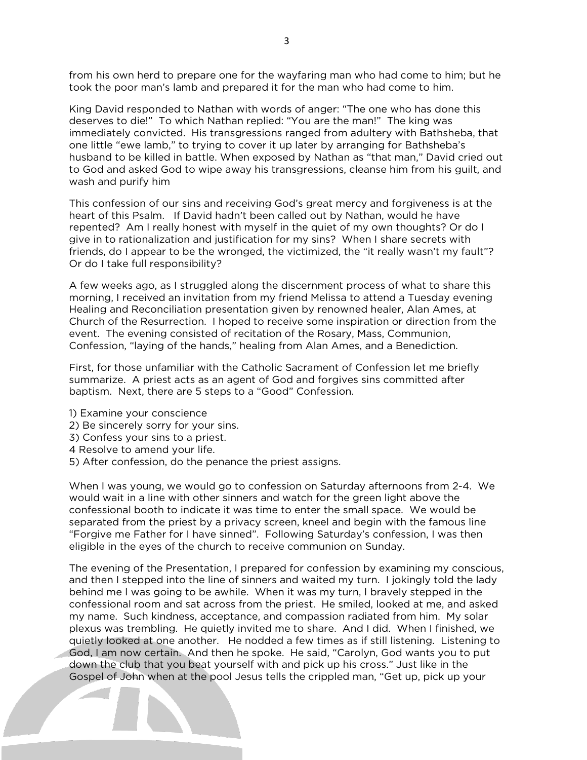from his own herd to prepare one for the wayfaring man who had come to him; but he took the poor man's lamb and prepared it for the man who had come to him.

King David responded to Nathan with words of anger: "The one who has done this deserves to die!" To which Nathan replied: "You are the man!" The king was immediately convicted. His transgressions ranged from adultery with Bathsheba, that one little "ewe lamb," to trying to cover it up later by arranging for Bathsheba's husband to be killed in battle. When exposed by Nathan as "that man," David cried out to God and asked God to wipe away his transgressions, cleanse him from his guilt, and wash and purify him

This confession of our sins and receiving God's great mercy and forgiveness is at the heart of this Psalm. If David hadn't been called out by Nathan, would he have repented? Am I really honest with myself in the quiet of my own thoughts? Or do I give in to rationalization and justification for my sins? When I share secrets with friends, do I appear to be the wronged, the victimized, the "it really wasn't my fault"? Or do I take full responsibility?

A few weeks ago, as I struggled along the discernment process of what to share this morning, I received an invitation from my friend Melissa to attend a Tuesday evening Healing and Reconciliation presentation given by renowned healer, Alan Ames, at Church of the Resurrection. I hoped to receive some inspiration or direction from the event. The evening consisted of recitation of the Rosary, Mass, Communion, Confession, "laying of the hands," healing from Alan Ames, and a Benediction.

First, for those unfamiliar with the Catholic Sacrament of Confession let me briefly summarize. A priest acts as an agent of God and forgives sins committed after baptism. Next, there are 5 steps to a "Good" Confession.

- 1) Examine your conscience
- 2) Be sincerely sorry for your sins.
- 3) Confess your sins to a priest.
- 4 Resolve to amend your life.
- 5) After confession, do the penance the priest assigns.

When I was young, we would go to confession on Saturday afternoons from 2-4. We would wait in a line with other sinners and watch for the green light above the confessional booth to indicate it was time to enter the small space. We would be separated from the priest by a privacy screen, kneel and begin with the famous line "Forgive me Father for I have sinned". Following Saturday's confession, I was then eligible in the eyes of the church to receive communion on Sunday.

The evening of the Presentation, I prepared for confession by examining my conscious, and then I stepped into the line of sinners and waited my turn. I jokingly told the lady behind me I was going to be awhile. When it was my turn, I bravely stepped in the confessional room and sat across from the priest. He smiled, looked at me, and asked my name. Such kindness, acceptance, and compassion radiated from him. My solar plexus was trembling. He quietly invited me to share. And I did. When I finished, we quietly looked at one another. He nodded a few times as if still listening. Listening to God, I am now certain. And then he spoke. He said, "Carolyn, God wants you to put down the club that you beat yourself with and pick up his cross." Just like in the Gospel of John when at the pool Jesus tells the crippled man, "Get up, pick up your